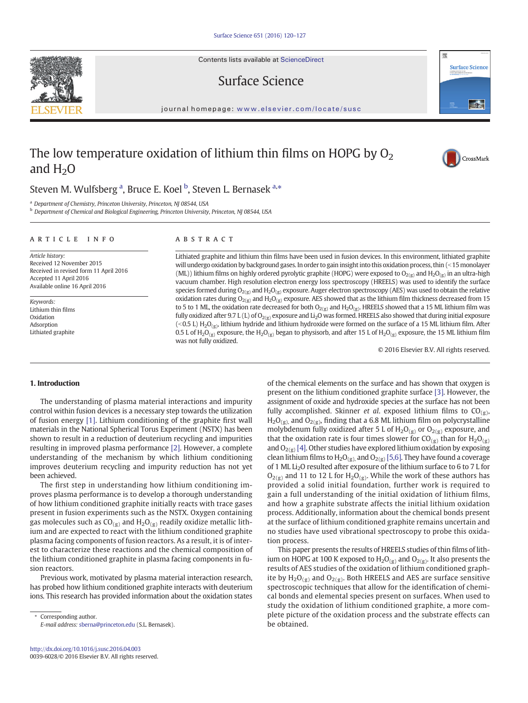Contents lists available at ScienceDirect

Surface Science



### journal homepage: <www.elsevier.com/locate/susc>

# The low temperature oxidation of lithium thin films on HOPG by  $O_2$ and  $H<sub>2</sub>O$



# Steven M. Wulfsberg <sup>a</sup>, Bruce E. Koel <sup>b</sup>, Steven L. Bernasek <sup>a,\*</sup>

<sup>a</sup> Department of Chemistry, Princeton University, Princeton, NJ 08544, USA

**b** Department of Chemical and Biological Engineering, Princeton University, Princeton, NJ 08544, USA

# article info abstract

Article history: Received 12 November 2015 Received in revised form 11 April 2016 Accepted 11 April 2016 Available online 16 April 2016

Keywords: Lithium thin films Oxidation Adsorption Lithiated graphite

Lithiated graphite and lithium thin films have been used in fusion devices. In this environment, lithiated graphite will undergo oxidation by background gases. In order to gain insight into this oxidation process, thin (<15 monolayer (ML)) lithium films on highly ordered pyrolytic graphite (HOPG) were exposed to  $O_{2(x)}$  and  $H_2O_{(x)}$  in an ultra-high vacuum chamber. High resolution electron energy loss spectroscopy (HREELS) was used to identify the surface species formed during  $O_{2(g)}$  and  $H_2O_{(g)}$  exposure. Auger electron spectroscopy (AES) was used to obtain the relative oxidation rates during  $O_{2(g)}$  and  $H_2O_{(g)}$  exposure. AES showed that as the lithium film thickness decreased from 15 to 5 to 1 ML, the oxidation rate decreased for both  $O_{2(g)}$  and  $H_2O_{(g)}$ . HREELS showed that a 15 ML lithium film was fully oxidized after 9.7 L (L) of  $O_{2(g)}$  exposure and Li<sub>2</sub>O was formed. HREELS also showed that during initial exposure (<0.5 L) H<sub>2</sub>O<sub>(g)</sub>, lithium hydride and lithium hydroxide were formed on the surface of a 15 ML lithium film. After 0.5 L of H<sub>2</sub>O<sub>(g)</sub> exposure, the H<sub>2</sub>O<sub>(g)</sub> began to physisorb, and after 15 L of H<sub>2</sub>O<sub>(g)</sub> exposure, the 15 ML lithium film was not fully oxidized.

© 2016 Elsevier B.V. All rights reserved.

# 1. Introduction

The understanding of plasma material interactions and impurity control within fusion devices is a necessary step towards the utilization of fusion energy [\[1\].](#page-6-0) Lithium conditioning of the graphite first wall materials in the National Spherical Torus Experiment (NSTX) has been shown to result in a reduction of deuterium recycling and impurities resulting in improved plasma performance [\[2\]](#page-6-0). However, a complete understanding of the mechanism by which lithium conditioning improves deuterium recycling and impurity reduction has not yet been achieved.

The first step in understanding how lithium conditioning improves plasma performance is to develop a thorough understanding of how lithium conditioned graphite initially reacts with trace gases present in fusion experiments such as the NSTX. Oxygen containing gas molecules such as  $CO_{(g)}$  and  $H_2O_{(g)}$  readily oxidize metallic lithium and are expected to react with the lithium conditioned graphite plasma facing components of fusion reactors. As a result, it is of interest to characterize these reactions and the chemical composition of the lithium conditioned graphite in plasma facing components in fusion reactors.

Previous work, motivated by plasma material interaction research, has probed how lithium conditioned graphite interacts with deuterium ions. This research has provided information about the oxidation states of the chemical elements on the surface and has shown that oxygen is present on the lithium conditioned graphite surface [\[3\]](#page-6-0). However, the assignment of oxide and hydroxide species at the surface has not been fully accomplished. Skinner et al. exposed lithium films to  $CO_{(g)}$ ,  $H_2O_{(g)}$ , and  $O_{2(g)}$ , finding that a 6.8 ML lithium film on polycrystalline molybdenum fully oxidized after 5 L of  $H_2O_{(g)}$  or  $O_{2(g)}$  exposure, and that the oxidation rate is four times slower for  $CO_{(g)}$  than for  $H_2O_{(g)}$ and  $O_{2(g)}$  [\[4\]](#page-6-0). Other studies have explored lithium oxidation by exposing clean lithium films to  $H_2O_{(g)}$ , and  $O_{2(g)}$  [\[5,6\].](#page-6-0) They have found a coverage of 1 ML Li<sub>2</sub>O resulted after exposure of the lithium surface to 6 to 7 L for  $O_{2(g)}$  and 11 to 12 L for  $H_2O_{(g)}$ . While the work of these authors has provided a solid initial foundation, further work is required to gain a full understanding of the initial oxidation of lithium films, and how a graphite substrate affects the initial lithium oxidation process. Additionally, information about the chemical bonds present at the surface of lithium conditioned graphite remains uncertain and no studies have used vibrational spectroscopy to probe this oxidation process.

This paper presents the results of HREELS studies of thin films of lithium on HOPG at 100 K exposed to  $H_2O_{(g)}$  and  $O_{2(g)}$ . It also presents the results of AES studies of the oxidation of lithium conditioned graphite by  $H_2O_{(g)}$  and  $O_{2(g)}$ . Both HREELS and AES are surface sensitive spectroscopic techniques that allow for the identification of chemical bonds and elemental species present on surfaces. When used to study the oxidation of lithium conditioned graphite, a more complete picture of the oxidation process and the substrate effects can be obtained.



Corresponding author. E-mail address: [sberna@princeton.edu](mailto:sberna@princeton.edu) (S.L. Bernasek).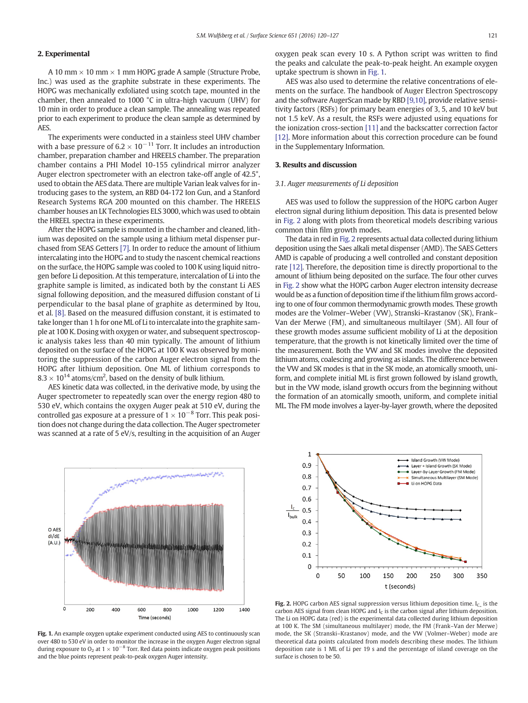# <span id="page-1-0"></span>2. Experimental

A 10 mm  $\times$  10 mm  $\times$  1 mm HOPG grade A sample (Structure Probe, Inc.) was used as the graphite substrate in these experiments. The HOPG was mechanically exfoliated using scotch tape, mounted in the chamber, then annealed to 1000 °C in ultra-high vacuum (UHV) for 10 min in order to produce a clean sample. The annealing was repeated prior to each experiment to produce the clean sample as determined by AES.

The experiments were conducted in a stainless steel UHV chamber with a base pressure of  $6.2 \times 10^{-11}$  Torr. It includes an introduction chamber, preparation chamber and HREELS chamber. The preparation chamber contains a PHI Model 10-155 cylindrical mirror analyzer Auger electron spectrometer with an electron take-off angle of 42.5°, used to obtain the AES data. There are multiple Varian leak valves for introducing gases to the system, an RBD 04-172 Ion Gun, and a Stanford Research Systems RGA 200 mounted on this chamber. The HREELS chamber houses an LK Technologies ELS 3000, which was used to obtain the HREEL spectra in these experiments.

After the HOPG sample is mounted in the chamber and cleaned, lithium was deposited on the sample using a lithium metal dispenser purchased from SEAS Getters [\[7\]](#page-6-0). In order to reduce the amount of lithium intercalating into the HOPG and to study the nascent chemical reactions on the surface, the HOPG sample was cooled to 100 K using liquid nitrogen before Li deposition. At this temperature, intercalation of Li into the graphite sample is limited, as indicated both by the constant Li AES signal following deposition, and the measured diffusion constant of Li perpendicular to the basal plane of graphite as determined by Itou, et al. [\[8\]](#page-6-0). Based on the measured diffusion constant, it is estimated to take longer than 1 h for one ML of Li to intercalate into the graphite sample at 100 K. Dosing with oxygen or water, and subsequent spectroscopic analysis takes less than 40 min typically. The amount of lithium deposited on the surface of the HOPG at 100 K was observed by monitoring the suppression of the carbon Auger electron signal from the HOPG after lithium deposition. One ML of lithium corresponds to  $8.3 \times 10^{14}$  atoms/cm<sup>2</sup>, based on the density of bulk lithium.

AES kinetic data was collected, in the derivative mode, by using the Auger spectrometer to repeatedly scan over the energy region 480 to 530 eV, which contains the oxygen Auger peak at 510 eV, during the controlled gas exposure at a pressure of  $1 \times 10^{-8}$  Torr. This peak position does not change during the data collection. The Auger spectrometer was scanned at a rate of 5 eV/s, resulting in the acquisition of an Auger



Fig. 1. An example oxygen uptake experiment conducted using AES to continuously scan over 480 to 530 eV in order to monitor the increase in the oxygen Auger electron signal during exposure to O<sub>2</sub> at  $1 \times 10^{-8}$  Torr. Red data points indicate oxygen peak positions and the blue points represent peak-to-peak oxygen Auger intensity.

AES was also used to determine the relative concentrations of elements on the surface. The handbook of Auger Electron Spectroscopy and the software AugerScan made by RBD [\[9,10\],](#page-6-0) provide relative sensitivity factors (RSFs) for primary beam energies of 3, 5, and 10 keV but not 1.5 keV. As a result, the RSFs were adjusted using equations for the ionization cross-section [\[11\]](#page-6-0) and the backscatter correction factor [\[12\]](#page-6-0). More information about this correction procedure can be found in the Supplementary Information.

## 3. Results and discussion

# 3.1. Auger measurements of Li deposition

AES was used to follow the suppression of the HOPG carbon Auger electron signal during lithium deposition. This data is presented below in Fig. 2 along with plots from theoretical models describing various common thin film growth modes.

The data in red in Fig. 2 represents actual data collected during lithium deposition using the Saes alkali metal dispenser (AMD). The SAES Getters AMD is capable of producing a well controlled and constant deposition rate [\[12\]](#page-6-0). Therefore, the deposition time is directly proportional to the amount of lithium being deposited on the surface. The four other curves in Fig. 2 show what the HOPG carbon Auger electron intensity decrease would be as a function of deposition time if the lithium film grows according to one of four common thermodynamic growth modes. These growth modes are the Volmer–Weber (VW), Stranski–Krastanov (SK), Frank– Van der Merwe (FM), and simultaneous multilayer (SM). All four of these growth modes assume sufficient mobility of Li at the deposition temperature, that the growth is not kinetically limited over the time of the measurement. Both the VW and SK modes involve the deposited lithium atoms, coalescing and growing as islands. The difference between the VW and SK modes is that in the SK mode, an atomically smooth, uniform, and complete initial ML is first grown followed by island growth, but in the VW mode, island growth occurs from the beginning without the formation of an atomically smooth, uniform, and complete initial ML. The FM mode involves a layer-by-layer growth, where the deposited



Fig. 2. HOPG carbon AES signal suppression versus lithium deposition time.  $I_{C_{\omega}}$  is the carbon AES signal from clean HOPG and  $I_c$  is the carbon signal after lithium deposition. The Li on HOPG data (red) is the experimental data collected during lithium deposition at 100 K. The SM (simultaneous multilayer) mode, the FM (Frank–Van der Merwe) mode, the SK (Stranski–Krastanov) mode, and the VW (Volmer–Weber) mode are theoretical data points calculated from models describing these modes. The lithium deposition rate is 1 ML of Li per 19 s and the percentage of island coverage on the surface is chosen to be 50.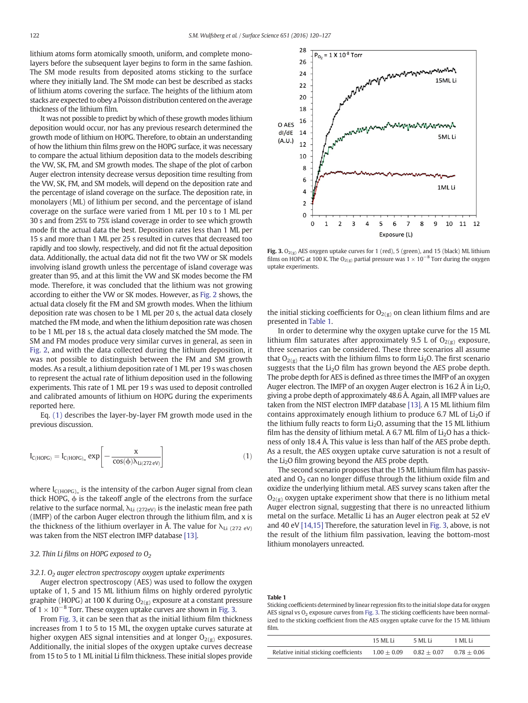<span id="page-2-0"></span>lithium atoms form atomically smooth, uniform, and complete monolayers before the subsequent layer begins to form in the same fashion. The SM mode results from deposited atoms sticking to the surface where they initially land. The SM mode can best be described as stacks of lithium atoms covering the surface. The heights of the lithium atom stacks are expected to obey a Poisson distribution centered on the average thickness of the lithium film.

It was not possible to predict by which of these growth modes lithium deposition would occur, nor has any previous research determined the growth mode of lithium on HOPG. Therefore, to obtain an understanding of how the lithium thin films grew on the HOPG surface, it was necessary to compare the actual lithium deposition data to the models describing the VW, SK, FM, and SM growth modes. The shape of the plot of carbon Auger electron intensity decrease versus deposition time resulting from the VW, SK, FM, and SM models, will depend on the deposition rate and the percentage of island coverage on the surface. The deposition rate, in monolayers (ML) of lithium per second, and the percentage of island coverage on the surface were varied from 1 ML per 10 s to 1 ML per 30 s and from 25% to 75% island coverage in order to see which growth mode fit the actual data the best. Deposition rates less than 1 ML per 15 s and more than 1 ML per 25 s resulted in curves that decreased too rapidly and too slowly, respectively, and did not fit the actual deposition data. Additionally, the actual data did not fit the two VW or SK models involving island growth unless the percentage of island coverage was greater than 95, and at this limit the VW and SK modes become the FM mode. Therefore, it was concluded that the lithium was not growing according to either the VW or SK modes. However, as [Fig. 2](#page-1-0) shows, the actual data closely fit the FM and SM growth modes. When the lithium deposition rate was chosen to be 1 ML per 20 s, the actual data closely matched the FM mode, and when the lithium deposition rate was chosen to be 1 ML per 18 s, the actual data closely matched the SM mode. The SM and FM modes produce very similar curves in general, as seen in [Fig. 2,](#page-1-0) and with the data collected during the lithium deposition, it was not possible to distinguish between the FM and SM growth modes. As a result, a lithium deposition rate of 1 ML per 19 s was chosen to represent the actual rate of lithium deposition used in the following experiments. This rate of 1 ML per 19 s was used to deposit controlled and calibrated amounts of lithium on HOPG during the experiments reported here.

Eq. (1) describes the layer-by-layer FM growth mode used in the previous discussion.

$$
I_{C(HOPG)} = I_{C(HOPG)_{\infty}} \exp \left[ - \frac{x}{\cos(\varphi) \lambda_{Li(272 \text{ eV})}} \right] \tag{1}
$$

where  $I_{C(HOPG)_{\infty}}$  is the intensity of the carbon Auger signal from clean thick HOPG,  $\phi$  is the takeoff angle of the electrons from the surface relative to the surface normal,  $\lambda_{Li(272eV)}$  is the inelastic mean free path (IMFP) of the carbon Auger electron through the lithium film, and x is the thickness of the lithium overlayer in Å. The value for  $\lambda_{Li(272 \text{ eV})}$ was taken from the NIST electron IMFP database [\[13\]](#page-6-0).

# 3.2. Thin Li films on HOPG exposed to  $O<sub>2</sub>$

3.2.1.  $O<sub>2</sub>$  auger electron spectroscopy oxygen uptake experiments

Auger electron spectroscopy (AES) was used to follow the oxygen uptake of 1, 5 and 15 ML lithium films on highly ordered pyrolytic graphite (HOPG) at 100 K during  $O_{2(g)}$  exposure at a constant pressure of  $1 \times 10^{-8}$  Torr. These oxygen uptake curves are shown in Fig. 3.

From Fig. 3, it can be seen that as the initial lithium film thickness increases from 1 to 5 to 15 ML, the oxygen uptake curves saturate at higher oxygen AES signal intensities and at longer  $O_{2(g)}$  exposures. Additionally, the initial slopes of the oxygen uptake curves decrease from 15 to 5 to 1 ML initial Li film thickness. These initial slopes provide



Fig. 3.  $O_{2(g)}$  AES oxygen uptake curves for 1 (red), 5 (green), and 15 (black) ML lithium films on HOPG at 100 K. The  $\mathrm{O}_{2(g)}$  partial pressure was 1  $\times$   $10^{-8}$  Torr during the oxygen uptake experiments.

the initial sticking coefficients for  $O_{2(g)}$  on clean lithium films and are presented in Table 1.

In order to determine why the oxygen uptake curve for the 15 ML lithium film saturates after approximately 9.5 L of  $O_{2(g)}$  exposure, three scenarios can be considered. These three scenarios all assume that  $O_{2(g)}$  reacts with the lithium films to form Li<sub>2</sub>O. The first scenario suggests that the Li<sub>2</sub>O film has grown beyond the AES probe depth. The probe depth for AES is defined as three times the IMFP of an oxygen Auger electron. The IMFP of an oxygen Auger electron is 16.2  $\AA$  in Li<sub>2</sub>O, giving a probe depth of approximately 48.6 Å. Again, all IMFP values are taken from the NIST electron IMFP database [\[13\].](#page-6-0) A 15 ML lithium film contains approximately enough lithium to produce 6.7 ML of  $Li<sub>2</sub>O$  if the lithium fully reacts to form  $Li<sub>2</sub>O$ , assuming that the 15 ML lithium film has the density of lithium metal. A 6.7 ML film of  $Li<sub>2</sub>O$  has a thickness of only 18.4 Å. This value is less than half of the AES probe depth. As a result, the AES oxygen uptake curve saturation is not a result of the Li2O film growing beyond the AES probe depth.

The second scenario proposes that the 15 ML lithium film has passivated and  $O<sub>2</sub>$  can no longer diffuse through the lithium oxide film and oxidize the underlying lithium metal. AES survey scans taken after the  $O_{2(g)}$  oxygen uptake experiment show that there is no lithium metal Auger electron signal, suggesting that there is no unreacted lithium metal on the surface. Metallic Li has an Auger electron peak at 52 eV and 40 eV [\[14,15\]](#page-6-0) Therefore, the saturation level in Fig. 3, above, is not the result of the lithium film passivation, leaving the bottom-most lithium monolayers unreacted.

Table 1

Sticking coefficients determined by linear regression fits to the initial slope data for oxygen AES signal vs  $O<sub>2</sub>$  exposure curves from Fig. 3. The sticking coefficients have been normalized to the sticking coefficient from the AES oxygen uptake curve for the 15 ML lithium film.

|                                        | 15 ML Li      | 5 ML Li       | 1 ML Li       |
|----------------------------------------|---------------|---------------|---------------|
| Relative initial sticking coefficients | $1.00 + 0.09$ | $0.82 + 0.07$ | $0.78 + 0.06$ |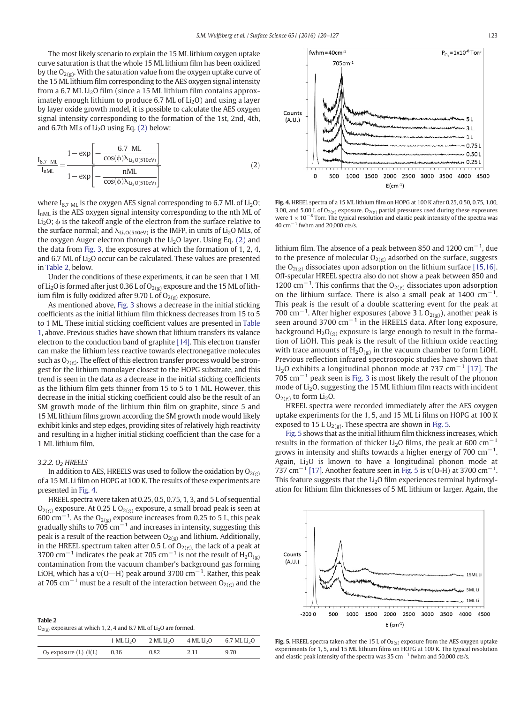The most likely scenario to explain the 15 ML lithium oxygen uptake curve saturation is that the whole 15 ML lithium film has been oxidized by the  $O_{2(g)}$ . With the saturation value from the oxygen uptake curve of the 15 ML lithium film corresponding to the AES oxygen signal intensity from a 6.7 ML Li<sub>2</sub>O film (since a 15 ML lithium film contains approximately enough lithium to produce 6.7 ML of  $Li<sub>2</sub>O$ ) and using a layer by layer oxide growth model, it is possible to calculate the AES oxygen signal intensity corresponding to the formation of the 1st, 2nd, 4th, and 6.7th MLs of  $Li<sub>2</sub>O$  using Eq. (2) below:

$$
\frac{I_{6.7 \text{ ML}}}{I_{nML}} = \frac{1 - \exp\left[-\frac{6.7 \text{ ML}}{\cos(\phi)\lambda_{Li_2O(510\text{eV})}}\right]}{1 - \exp\left[-\frac{nML}{\cos(\phi)\lambda_{Li_2O(510\text{eV})}}\right]}
$$
(2)

where  $I_{6.7 \text{ ML}}$  is the oxygen AES signal corresponding to 6.7 ML of  $Li_2O$ ; I<sub>nML</sub> is the AES oxygen signal intensity corresponding to the nth ML of Li<sub>2</sub>O;  $\phi$  is the takeoff angle of the electron from the surface relative to the surface normal; and  $\lambda_{Li, O(510eV)}$  is the IMFP, in units of Li<sub>2</sub>O MLs, of the oxygen Auger electron through the  $Li<sub>2</sub>O$  layer. Using Eq. (2) and the data from [Fig. 3,](#page-2-0) the exposures at which the formation of 1, 2, 4, and 6.7 ML of Li<sub>2</sub>O occur can be calculated. These values are presented in Table 2, below.

Under the conditions of these experiments, it can be seen that 1 ML of Li<sub>2</sub>O is formed after just 0.36 L of O<sub>2(g)</sub> exposure and the 15 ML of lithium film is fully oxidized after 9.70 L of  $O_{2(g)}$  exposure.

As mentioned above, [Fig. 3](#page-2-0) shows a decrease in the initial sticking coefficients as the initial lithium film thickness decreases from 15 to 5 to 1 ML. These initial sticking coefficient values are presented in [Table](#page-2-0) [1](#page-2-0), above. Previous studies have shown that lithium transfers its valance electron to the conduction band of graphite [\[14\].](#page-6-0) This electron transfer can make the lithium less reactive towards electronegative molecules such as  $O_{2(g)}$ . The effect of this electron transfer process would be strongest for the lithium monolayer closest to the HOPG substrate, and this trend is seen in the data as a decrease in the initial sticking coefficients as the lithium film gets thinner from 15 to 5 to 1 ML. However, this decrease in the initial sticking coefficient could also be the result of an SM growth mode of the lithium thin film on graphite, since 5 and 15 ML lithium films grown according the SM growth mode would likely exhibit kinks and step edges, providing sites of relatively high reactivity and resulting in a higher initial sticking coefficient than the case for a 1 ML lithium film.

# 3.2.2. O<sub>2</sub> HREELS

Table 2

In addition to AES, HREELS was used to follow the oxidation by  $O_{2(g)}$ of a 15 ML Li film on HOPG at 100 K. The results of these experiments are presented in Fig. 4.

HREEL spectra were taken at 0.25, 0.5, 0.75, 1, 3, and 5 L of sequential  $O_{2(g)}$  exposure. At 0.25 L  $O_{2(g)}$  exposure, a small broad peak is seen at 600 cm<sup>-1</sup>. As the O<sub>2(g)</sub> exposure increases from 0.25 to 5 L, this peak gradually shifts to  $705 \text{ cm}^{-1}$  and increases in intensity, suggesting this peak is a result of the reaction between  $O_{2(g)}$  and lithium. Additionally, in the HREEL spectrum taken after 0.5 L of  $O_{2(g)}$ , the lack of a peak at 3700 cm<sup>-1</sup> indicates the peak at 705 cm<sup>-1</sup> is not the result of H<sub>2</sub>O<sub>(g)</sub> contamination from the vacuum chamber's background gas forming LiOH, which has a  $\upsilon$ (O—H) peak around 3700 cm $^{-1}$ . Rather, this peak at 705 cm<sup>-1</sup> must be a result of the interaction between O<sub>2(g)</sub> and the

| -------                                                                           |  |  |
|-----------------------------------------------------------------------------------|--|--|
| $O_{2(g)}$ exposures at which 1, 2, 4 and 6.7 ML of Li <sub>2</sub> O are formed. |  |  |

|                             | $1$ ML Li <sub>2</sub> O | $2$ ML Li <sub>2</sub> O | 4 ML Li <sub>2</sub> O | 6.7 ML Li <sub>2</sub> O |
|-----------------------------|--------------------------|--------------------------|------------------------|--------------------------|
| $O_2$ exposure (L) ( $I(L)$ | 0.36                     | 0.82                     | 2.11                   | 9.70                     |

 $P_{O_2} = 1 \times 10^{-8}$  Torr fwhm= $40cm^{-1}$  $705cm-1$ Counts  $(A,U)$  $11$  $0.751$  $-0.501$ un 0.25 L  $\mathfrak{a}$ 500 1000 1500 2000 2500 3000 3500 4000 4500  $E(cm^{-1})$ 

Fig. 4. HREEL spectra of a 15 ML lithium film on HOPG at 100 K after 0.25, 0.50, 0.75, 1.00, 3.00, and 5.00 L of  $O_{2(g)}$  exposure.  $O_{2(g)}$  partial pressures used during these exposures were 1 × 10<sup>-8</sup> Torr. The typical resolution and elastic peak intensity of the spectra was 40 cm−<sup>1</sup> fwhm and 20,000 cts/s.

lithium film. The absence of a peak between 850 and 1200  $\text{cm}^{-1}$ , due to the presence of molecular  $O_{2(g)}$  adsorbed on the surface, suggests the  $O_{2(g)}$  dissociates upon adsorption on the lithium surface [\[15,16\].](#page-6-0) Off-specular HREEL spectra also do not show a peak between 850 and 1200 cm<sup>-1</sup>. This confirms that the O<sub>2(g)</sub> dissociates upon adsorption on the lithium surface. There is also a small peak at 1400  $cm^{-1}$ . This peak is the result of a double scattering event for the peak at 700 cm<sup>-1</sup>. After higher exposures (above 3 L O<sub>2(g)</sub>), another peak is seen around 3700 cm<sup>-1</sup> in the HREELS data. After long exposure, background  $H_2O_{(g)}$  exposure is large enough to result in the formation of LiOH. This peak is the result of the lithium oxide reacting with trace amounts of  $H_2O_{(g)}$  in the vacuum chamber to form LiOH. Previous reflection infrared spectroscopic studies have shown that Li2O exhibits a longitudinal phonon mode at 737 cm<sup>−</sup><sup>1</sup> [\[17\]](#page-7-0). The 705 cm−<sup>1</sup> peak seen is [Fig. 3](#page-2-0) is most likely the result of the phonon mode of Li<sub>2</sub>O, suggesting the 15 ML lithium film reacts with incident  $O_{2(g)}$  to form Li<sub>2</sub>O.

HREEL spectra were recorded immediately after the AES oxygen uptake experiments for the 1, 5, and 15 ML Li films on HOPG at 100 K exposed to 15 L  $O_{2(g)}$ . These spectra are shown in Fig. 5.

Fig. 5 shows that as the initial lithium film thickness increases, which results in the formation of thicker Li<sub>2</sub>O films, the peak at 600 cm<sup>-1</sup> grows in intensity and shifts towards a higher energy of 700  $\rm cm^{-1}.$ Again,  $Li<sub>2</sub>O$  is known to have a longitudinal phonon mode at 737 cm<sup>-1</sup> [\[17\]](#page-7-0). Another feature seen in Fig. 5 is  $v(O-H)$  at 3700 cm<sup>-1</sup>. This feature suggests that the  $Li<sub>2</sub>O$  film experiences terminal hydroxylation for lithium film thicknesses of 5 ML lithium or larger. Again, the

Fig. 5. HREEL spectra taken after the 15 L of  $O_{2(g)}$  exposure from the AES oxygen uptake experiments for 1, 5, and 15 ML lithium films on HOPG at 100 K. The typical resolution and elastic peak intensity of the spectra was 35 cm<sup>-1</sup> fwhm and 50,000 cts/s.

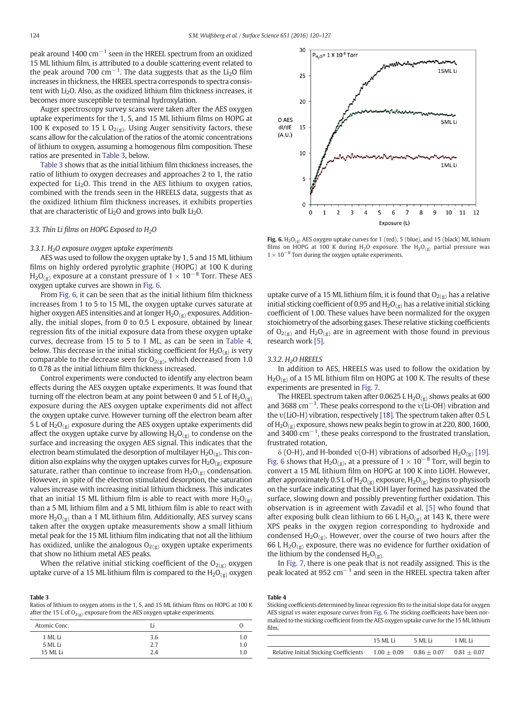peak around 1400  $cm^{-1}$  seen in the HREEL spectrum from an oxidized 15 ML lithium film, is attributed to a double scattering event related to the peak around 700  $\text{cm}^{-1}$ . The data suggests that as the Li<sub>2</sub>O film increases in thickness, the HREEL spectra corresponds to spectra consistent with Li<sub>2</sub>O. Also, as the oxidized lithium film thickness increases, it becomes more susceptible to terminal hydroxylation.

Auger spectroscopy survey scans were taken after the AES oxygen uptake experiments for the 1, 5, and 15 ML lithium films on HOPG at 100 K exposed to 15 L O<sub>2(g)</sub>. Using Auger sensitivity factors, these scans allow for the calculation of the ratios of the atomic concentrations of lithium to oxygen, assuming a homogenous film composition. These ratios are presented in Table 3, below.

Table 3 shows that as the initial lithium film thickness increases, the ratio of lithium to oxygen decreases and approaches 2 to 1, the ratio expected for  $Li<sub>2</sub>O$ . This trend in the AES lithium to oxygen ratios, combined with the trends seen in the HREELS data, suggests that as the oxidized lithium film thickness increases, it exhibits properties that are characteristic of  $Li<sub>2</sub>O$  and grows into bulk  $Li<sub>2</sub>O$ .

# 3.3. Thin Li films on HOPG Exposed to  $H_2O$

# $3.3.1.$  H<sub>2</sub>O exposure oxygen uptake experiments

AES was used to follow the oxygen uptake by 1, 5 and 15 ML lithium films on highly ordered pyrolytic graphite (HOPG) at 100 K during  $H_2O_{(g)}$  exposure at a constant pressure of  $1 \times 10^{-8}$  Torr. These AES oxygen uptake curves are shown in Fig. 6.

From Fig. 6, it can be seen that as the initial lithium film thickness increases from 1 to 5 to 15 ML, the oxygen uptake curves saturate at higher oxygen AES intensities and at longer  $H_2O_{(g)}$  exposures. Additionally, the initial slopes, from 0 to 0.5 L exposure, obtained by linear regression fits of the initial exposure data from these oxygen uptake curves, decrease from 15 to 5 to 1 ML, as can be seen in Table 4, below. This decrease in the initial sticking coefficient for  $H_2O_{(g)}$  is very comparable to the decrease seen for  $O_{2(g)}$ , which decreased from 1.0 to 0.78 as the initial lithium film thickness increased.

Control experiments were conducted to identify any electron beam effects during the AES oxygen uptake experiments. It was found that turning off the electron beam at any point between 0 and 5 L of  $H_2O_{(g)}$ exposure during the AES oxygen uptake experiments did not affect the oxygen uptake curve. However turning off the electron beam after 5 L of  $H_2O_{(g)}$  exposure during the AES oxygen uptake experiments did affect the oxygen uptake curve by allowing  $H_2O_{(g)}$  to condense on the surface and increasing the oxygen AES signal. This indicates that the electron beam stimulated the desorption of multilayer  $H_2O_{(g)}$ . This condition also explains why the oxygen uptakes curves for  $H_2O_{(g)}$  exposure saturate, rather than continue to increase from  $H_2O_{(g)}$  condensation. However, in spite of the electron stimulated desorption, the saturation values increase with increasing initial lithium thickness. This indicates that an initial 15 ML lithium film is able to react with more  $H_2O_{(g)}$ than a 5 ML lithium film and a 5 ML lithium film is able to react with more  $H_2O_{(g)}$  than a 1 ML lithium film. Additionally, AES survey scans taken after the oxygen uptake measurements show a small lithium metal peak for the 15 ML lithium film indicating that not all the lithium has oxidized, unlike the analogous  $O_{2(g)}$  oxygen uptake experiments that show no lithium metal AES peaks.

When the relative initial sticking coefficient of the  $O_{2(g)}$  oxygen uptake curve of a 15 ML lithium film is compared to the  $H_2O_{(g)}$  oxygen

Table 3 Ratios of lithium to oxygen atoms in the 1, 5, and 15 ML lithium films on HOPG at 100 K after the 15 L of  $O_{2(g)}$  exposure from the AES oxygen uptake experiments.

| Atomic Conc.       |            |            |
|--------------------|------------|------------|
| 1 ML Li<br>5 ML Li | 3.6<br>2.7 | 1.0<br>1.0 |
| 15 ML Li           | 2.4        | 1.0        |



Fig. 6.  $H_2O_{(g)}$  AES oxygen uptake curves for 1 (red), 5 (blue), and 15 (black) ML lithium films on HOPG at 100 K during H<sub>2</sub>O exposure. The H<sub>2</sub>O<sub>(g)</sub> partial pressure was  $1 \times 10^{-8}$  Torr during the oxygen uptake experiments.

uptake curve of a 15 ML lithium film, it is found that  $O_{2(g)}$  has a relative initial sticking coefficient of 0.95 and  $H_2O_{(g)}$  has a relative initial sticking coefficient of 1.00. These values have been normalized for the oxygen stoichiometry of the adsorbing gases. These relative sticking coefficients of  $O_{2(g)}$  and  $H_2O_{(g)}$  are in agreement with those found in previous research work [\[5\]](#page-6-0).

# 3.3.2. H2O HREELS

In addition to AES, HREELS was used to follow the oxidation by  $H_2O_{(g)}$  of a 15 ML lithium film on HOPG at 100 K. The results of these experiments are presented in [Fig. 7.](#page-5-0)

The HREEL spectrum taken after 0.0625 L  $H_2O_{(g)}$  shows peaks at 600 and 3688 cm<sup>-1</sup>. These peaks correspond to the v(Li-OH) vibration and the υ(LiO-H) vibration, respectively [\[18\]](#page-7-0). The spectrum taken after 0.5 L of  $H_2O_{(g)}$  exposure, shows new peaks begin to grow in at 220, 800, 1600, and 3400 cm−<sup>1</sup> , these peaks correspond to the frustrated translation, frustrated rotation,

 $\delta$  (O-H), and H-bonded  $v(O-H)$  vibrations of adsorbed  $H_2O_{(g)}$  [\[19\].](#page-7-0) Fig. 6 shows that  $H_2O_{(g)}$ , at a pressure of  $1 \times 10^{-8}$  Torr, will begin to convert a 15 ML lithium film on HOPG at 100 K into LiOH. However, after approximately 0.5 L of  $H_2O_{(g)}$  exposure,  $H_2O_{(g)}$  begins to physisorb on the surface indicating that the LiOH layer formed has passivated the surface, slowing down and possibly preventing further oxidation. This observation is in agreement with Zavadil et al. [\[5\]](#page-6-0) who found that after exposing bulk clean lithium to 66 L  $H_2O_{(g)}$  at 143 K, there were XPS peaks in the oxygen region corresponding to hydroxide and condensed  $H_2O_{(g)}$ . However, over the course of two hours after the 66 L  $H_2O_{(g)}$  exposure, there was no evidence for further oxidation of the lithium by the condensed  $H_2O_{(g)}$ .

In [Fig. 7,](#page-5-0) there is one peak that is not readily assigned. This is the peak located at 952  $cm^{-1}$  and seen in the HREEL spectra taken after

#### Table 4

Sticking coefficients determined by linear regression fits to the initial slope data for oxygen AES signal vs water exposure curves from Fig. 6. The sticking coefficients have been normalized to the sticking coefficient from the AES oxygen uptake curve for the 15 ML lithium film.

|                                        | 15 ML Li      | -5 ML Li      | 1 ML Li       |
|----------------------------------------|---------------|---------------|---------------|
| Relative Initial Sticking Coefficients | $1.00 + 0.09$ | $0.86 + 0.07$ | $0.81 + 0.07$ |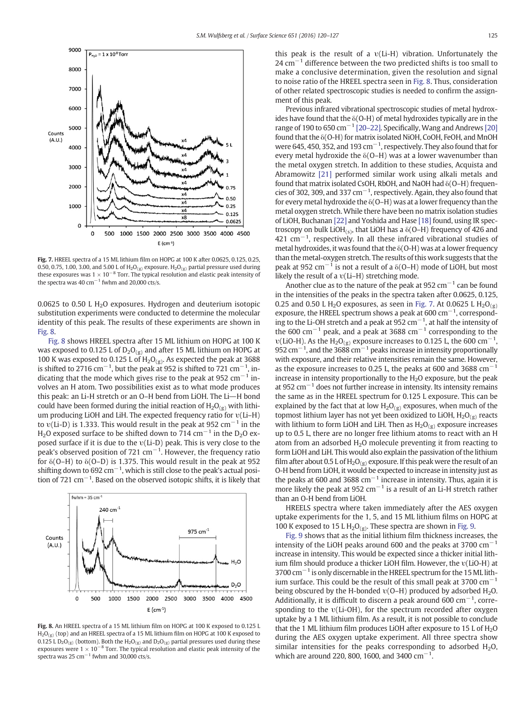<span id="page-5-0"></span>

Fig. 7. HREEL spectra of a 15 ML lithium film on HOPG at 100 K after 0.0625, 0.125, 0.25, 0.50, 0.75, 1.00, 3.00, and 5.00 L of  $H_2O_{(g)}$  exposure.  $H_2O_{(g)}$  partial pressure used during these exposures was  $1 \times 10^{-8}$  Torr. The typical resolution and elastic peak intensity of the spectra was 40 cm<sup> $-1$ </sup> fwhm and 20,000 cts/s.

0.0625 to 0.50 L  $H<sub>2</sub>O$  exposures. Hydrogen and deuterium isotopic substitution experiments were conducted to determine the molecular identity of this peak. The results of these experiments are shown in Fig. 8.

Fig. 8 shows HREEL spectra after 15 ML lithium on HOPG at 100 K was exposed to 0.125 L of  $D_2O_{(g)}$  and after 15 ML lithium on HOPG at 100 K was exposed to 0.125 L of  $H_2O_{(g)}$ . As expected the peak at 3688 is shifted to 2716 cm<sup>-1</sup>, but the peak at 952 is shifted to 721 cm<sup>-1</sup>, indicating that the mode which gives rise to the peak at 952  $cm^{-1}$  involves an H atom. Two possibilities exist as to what mode produces this peak: an Li-H stretch or an O–H bend from LiOH. The Li\\H bond could have been formed during the initial reaction of  $H_2O_{(g)}$  with lithium producing LiOH and LiH. The expected frequency ratio for υ(Li–H) to  $v(Li-D)$  is 1.333. This would result in the peak at 952 cm<sup>-1</sup> in the H<sub>2</sub>O exposed surface to be shifted down to 714 cm<sup>-1</sup> in the D<sub>2</sub>O exposed surface if it is due to the υ(Li-D) peak. This is very close to the peak's observed position of 721 cm<sup>-1</sup>. However, the frequency ratio for  $\delta$ (O–H) to  $\delta$ (O–D) is 1.375. This would result in the peak at 952 shifting down to 692  $cm^{-1}$ , which is still close to the peak's actual position of 721 cm<sup>-1</sup>. Based on the observed isotopic shifts, it is likely that



Fig. 8. An HREEL spectra of a 15 ML lithium film on HOPG at 100 K exposed to 0.125 L  $H_2O_{(g)}$  (top) and an HREEL spectra of a 15 ML lithium film on HOPG at 100 K exposed to 0.125 L D<sub>2</sub>O<sub>(g)</sub> (bottom). Both the H<sub>2</sub>O<sub>(g)</sub> and D<sub>2</sub>O<sub>(g)</sub> partial pressures used during these exposures were  $1 \times 10^{-8}$  Torr. The typical resolution and elastic peak intensity of the spectra was  $25 \text{ cm}^{-1}$  fwhm and 30,000 cts/s.

this peak is the result of a υ(Li-H) vibration. Unfortunately the  $24 \text{ cm}^{-1}$  difference between the two predicted shifts is too small to make a conclusive determination, given the resolution and signal to noise ratio of the HREEL spectra seen in Fig. 8. Thus, consideration of other related spectroscopic studies is needed to confirm the assignment of this peak.

Previous infrared vibrational spectroscopic studies of metal hydroxides have found that the δ(O-H) of metal hydroxides typically are in the range of 190 to 650 cm<sup>-1</sup> [20–[22\].](#page-7-0) Specifically, Wang and Andrews [\[20\]](#page-7-0) found that the δ(O-H) for matrix isolated NiOH, CoOH, FeOH, and MnOH were 645, 450, 352, and 193  $cm^{-1}$ , respectively. They also found that for every metal hydroxide the  $\delta$ (O–H) was at a lower wavenumber than the metal oxygen stretch. In addition to these studies, Acquista and Abramowitz [\[21\]](#page-7-0) performed similar work using alkali metals and found that matrix isolated CsOH, RbOH, and NaOH had δ(O–H) frequencies of 302, 309, and 337  $cm^{-1}$ , respectively. Again, they also found that for every metal hydroxide the δ(O–H) was at a lower frequency than the metal oxygen stretch. While there have been no matrix isolation studies of LiOH, Buchanan [\[22\]](#page-7-0) and Yoshida and Hase [\[18\]](#page-7-0) found, using IR spectroscopy on bulk LiOH(s), that LiOH has a  $\delta$ (O–H) frequency of 426 and  $421 \text{ cm}^{-1}$ , respectively. In all these infrared vibrational studies of metal hydroxides, it was found that the  $\delta$ (O-H) was at a lower frequency than the metal-oxygen stretch. The results of this work suggests that the peak at 952 cm<sup> $-1$ </sup> is not a result of a  $\delta$ (O–H) mode of LiOH, but most likely the result of a υ(Li–H) stretching mode.

Another clue as to the nature of the peak at 952  $cm^{-1}$  can be found in the intensities of the peaks in the spectra taken after 0.0625, 0.125, 0.25 and 0.50 L H<sub>2</sub>O exposures, as seen in Fig. 7. At 0.0625 L H<sub>2</sub>O<sub>(g)</sub> exposure, the HREEL spectrum shows a peak at 600  $\text{cm}^{-1}$ , corresponding to the Li-OH stretch and a peak at 952  $cm^{-1}$ , at half the intensity of the 600 cm<sup>-1</sup> peak, and a peak at 3688 cm<sup>-1</sup> corresponding to the υ(LiO-H). As the H<sub>2</sub>O<sub>(g)</sub> exposure increases to 0.125 L, the 600 cm<sup>-1</sup>, 952 cm<sup> $-1$ </sup>, and the 3688 cm $^{-1}$  peaks increase in intensity proportionally with exposure, and their relative intensities remain the same. However, as the exposure increases to 0.25 L, the peaks at 600 and 3688  $cm^{-1}$ increase in intensity proportionally to the  $H<sub>2</sub>O$  exposure, but the peak at 952 cm<sup> $-1$ </sup> does not further increase in intensity. Its intensity remains the same as in the HREEL spectrum for 0.125 L exposure. This can be explained by the fact that at low  $H_2O_{(g)}$  exposures, when much of the topmost lithium layer has not yet been oxidized to LiOH,  $H_2O_{(g)}$  reacts with lithium to form LiOH and LiH. Then as  $H_2O_{(g)}$  exposure increases up to 0.5 L, there are no longer free lithium atoms to react with an H atom from an adsorbed  $H_2O$  molecule preventing it from reacting to form LiOH and LiH. This would also explain the passivation of the lithium film after about 0.5 L of  $H_2O_{(g)}$  exposure. If this peak were the result of an O-H bend from LiOH, it would be expected to increase in intensity just as the peaks at 600 and 3688 cm<sup> $-1$ </sup> increase in intensity. Thus, again it is more likely the peak at 952  $cm^{-1}$  is a result of an Li-H stretch rather than an O-H bend from LiOH.

HREELS spectra where taken immediately after the AES oxygen uptake experiments for the 1, 5, and 15 ML lithium films on HOPG at 100 K exposed to 15 L  $H_2O_{(g)}$ . These spectra are shown in [Fig. 9](#page-6-0).

[Fig. 9](#page-6-0) shows that as the initial lithium film thickness increases, the intensity of the LiOH peaks around 600 and the peaks at 3700  $cm^{-1}$ increase in intensity. This would be expected since a thicker initial lithium film should produce a thicker LiOH film. However, the υ(LiO-H) at 3700 cm<sup>-1</sup> is only discernable in the HREEL spectrum for the 15 ML lithium surface. This could be the result of this small peak at 3700  $cm^{-1}$ being obscured by the H-bonded  $v(O-H)$  produced by adsorbed  $H<sub>2</sub>O$ . Additionally, it is difficult to discern a peak around 600  $cm^{-1}$ , corresponding to the υ(Li-OH), for the spectrum recorded after oxygen uptake by a 1 ML lithium film. As a result, it is not possible to conclude that the 1 ML lithium film produces LiOH after exposure to  $15$  L of  $H<sub>2</sub>O$ during the AES oxygen uptake experiment. All three spectra show similar intensities for the peaks corresponding to adsorbed  $H_2O$ , which are around 220, 800, 1600, and 3400 cm<sup>-1</sup>.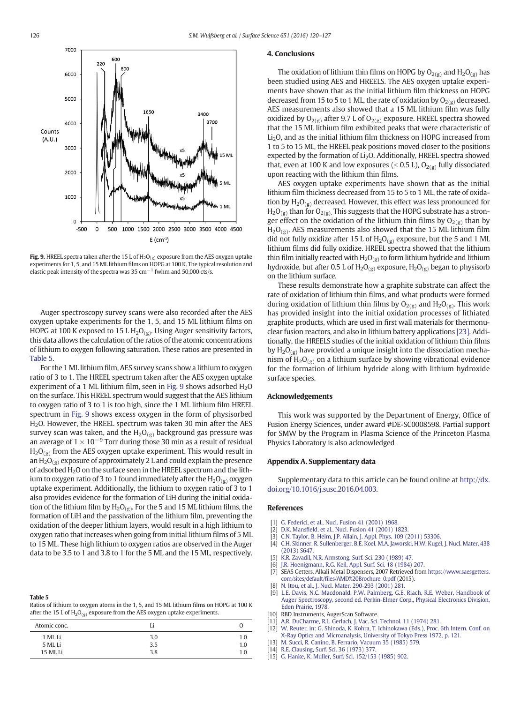<span id="page-6-0"></span>

**Fig. 9.** HREEL spectra taken after the 15 L of  $H_2O_{(g)}$  exposure from the AES oxygen uptake experiments for 1, 5, and 15 ML lithium films on HOPG at 100 K. The typical resolution and elastic peak intensity of the spectra was 35 cm<sup> $-1$ </sup> fwhm and 50,000 cts/s.

Auger spectroscopy survey scans were also recorded after the AES oxygen uptake experiments for the 1, 5, and 15 ML lithium films on HOPG at 100 K exposed to 15 L  $H_2O_{(g)}$ . Using Auger sensitivity factors, this data allows the calculation of the ratios of the atomic concentrations of lithium to oxygen following saturation. These ratios are presented in Table 5.

For the 1 ML lithium film, AES survey scans show a lithium to oxygen ratio of 3 to 1. The HREEL spectrum taken after the AES oxygen uptake experiment of a 1 ML lithium film, seen in Fig. 9 shows adsorbed  $H_2O$ on the surface. This HREEL spectrum would suggest that the AES lithium to oxygen ratio of 3 to 1 is too high, since the 1 ML lithium film HREEL spectrum in Fig. 9 shows excess oxygen in the form of physisorbed H2O. However, the HREEL spectrum was taken 30 min after the AES survey scan was taken, and the  $H_2O_{(g)}$  background gas pressure was an average of  $1 \times 10^{-9}$  Torr during those 30 min as a result of residual  $H_2O_{(g)}$  from the AES oxygen uptake experiment. This would result in an  $H_2O_{(g)}$  exposure of approximately 2 L and could explain the presence of adsorbed H2O on the surface seen in the HREEL spectrum and the lithium to oxygen ratio of 3 to 1 found immediately after the  $H_2O_{(g)}$  oxygen uptake experiment. Additionally, the lithium to oxygen ratio of 3 to 1 also provides evidence for the formation of LiH during the initial oxidation of the lithium film by  $H_2O_{(g)}$ . For the 5 and 15 ML lithium films, the formation of LiH and the passivation of the lithium film, preventing the oxidation of the deeper lithium layers, would result in a high lithium to oxygen ratio that increases when going from initial lithium films of 5 ML to 15 ML. These high lithium to oxygen ratios are observed in the Auger data to be 3.5 to 1 and 3.8 to 1 for the 5 ML and the 15 ML, respectively.

#### Table 5

Ratios of lithium to oxygen atoms in the 1, 5, and 15 ML lithium films on HOPG at 100 K after the 15 L of  $H_2O_{(g)}$  exposure from the AES oxygen uptake experiments.

| Atomic conc. |     |     |
|--------------|-----|-----|
| 1 ML Li      | 3.0 | 1.0 |
| 5 ML Li      | 3.5 | 1.0 |
| 15 ML Li     | 3.8 | 1.0 |

# 4. Conclusions

The oxidation of lithium thin films on HOPG by  $O_{2(g)}$  and  $H_2O_{(g)}$  has been studied using AES and HREELS. The AES oxygen uptake experiments have shown that as the initial lithium film thickness on HOPG decreased from 15 to 5 to 1 ML, the rate of oxidation by  $O_{2(g)}$  decreased. AES measurements also showed that a 15 ML lithium film was fully oxidized by  $O_{2(g)}$  after 9.7 L of  $O_{2(g)}$  exposure. HREEL spectra showed that the 15 ML lithium film exhibited peaks that were characteristic of Li<sub>2</sub>O, and as the initial lithium film thickness on HOPG increased from 1 to 5 to 15 ML, the HREEL peak positions moved closer to the positions expected by the formation of Li<sub>2</sub>O. Additionally, HREEL spectra showed that, even at 100 K and low exposures (< 0.5 L),  $O_{2(g)}$  fully dissociated upon reacting with the lithium thin films.

AES oxygen uptake experiments have shown that as the initial lithium film thickness decreased from 15 to 5 to 1 ML, the rate of oxidation by  $H_2O_{(g)}$  decreased. However, this effect was less pronounced for  $H_2O_{(g)}$  than for  $O_{2(g)}$ . This suggests that the HOPG substrate has a stronger effect on the oxidation of the lithium thin films by  $O_{2(g)}$  than by  $H<sub>2</sub>O<sub>(g)</sub>$ . AES measurements also showed that the 15 ML lithium film did not fully oxidize after 15 L of  $H_2O_{(g)}$  exposure, but the 5 and 1 ML lithium films did fully oxidize. HREEL spectra showed that the lithium thin film initially reacted with  $H_2O_{(g)}$  to form lithium hydride and lithium hydroxide, but after 0.5 L of  $H_2O_{(g)}$  exposure,  $H_2O_{(g)}$  began to physisorb on the lithium surface.

These results demonstrate how a graphite substrate can affect the rate of oxidation of lithium thin films, and what products were formed during oxidation of lithium thin films by  $O_{2(g)}$  and  $H_2O_{(g)}$ . This work has provided insight into the initial oxidation processes of lithiated graphite products, which are used in first wall materials for thermonuclear fusion reactors, and also in lithium battery applications [\[23\]](#page-7-0). Additionally, the HREELS studies of the initial oxidation of lithium thin films by  $H_2O_{(g)}$  have provided a unique insight into the dissociation mechanism of  $H_2O_{(g)}$  on a lithium surface by showing vibrational evidence for the formation of lithium hydride along with lithium hydroxide surface species.

# Acknowledgements

This work was supported by the Department of Energy, Office of Fusion Energy Sciences, under award #DE-SC0008598. Partial support for SMW by the Program in Plasma Science of the Princeton Plasma Physics Laboratory is also acknowledged

# Appendix A. Supplementary data

Supplementary data to this article can be found online at [http://dx.](doi:10.1016/j.susc.2016.04.003) [doi.org/10.1016/j.susc.2016.04.003.](doi:10.1016/j.susc.2016.04.003)

## References

- [1] [G. Federici, et al., Nucl. Fusion 41 \(2001\) 1968](http://refhub.elsevier.com/S0039-6028(16)30088-7/rf0005).
- [2] D.K. Mansfi[eld, et al., Nucl. Fusion 41 \(2001\) 1823.](http://refhub.elsevier.com/S0039-6028(16)30088-7/rf0010)
- [3] [C.N. Taylor, B. Heim, J.P. Allain, J. Appl. Phys. 109 \(2011\) 53306](http://refhub.elsevier.com/S0039-6028(16)30088-7/rf0015).
- [4] [C.H. Skinner, R. Sullenberger, B.E. Koel, M.A. Jaworski, H.W. Kugel, J. Nucl. Mater. 438](http://refhub.elsevier.com/S0039-6028(16)30088-7/rf0020) [\(2013\) S647.](http://refhub.elsevier.com/S0039-6028(16)30088-7/rf0020)
- [5] [K.R. Zavadil, N.R. Armstong, Surf. Sci. 230 \(1989\) 47](http://refhub.elsevier.com/S0039-6028(16)30088-7/rf0025).
- [6] [J.R. Hoenigmann, R.G. Keil, Appl. Surf. Sci. 18 \(1984\) 207.](http://refhub.elsevier.com/S0039-6028(16)30088-7/rf0030)
- [7] SEAS Getters, Alkali Metal Dispensers, 2007 Retrieved from [https://www.saesgetters.](https://www.saesgetters.com/sites/default/files/AMD%20Brochure_0.pdf) com/sites/default/fi[les/AMD%20Brochure\\_0.pdf](https://www.saesgetters.com/sites/default/files/AMD%20Brochure_0.pdf) (2015).
- [8] [N. Itou, et al., J. Nucl. Mater. 290-293 \(2001\) 281.](http://refhub.elsevier.com/S0039-6028(16)30088-7/rf0040)
- [9] [L.E. Davis, N.C. Macdonald, P.W. Palmberg, G.E. Riach, R.E. Weber, Handbook of](http://refhub.elsevier.com/S0039-6028(16)30088-7/rf0045) [Auger Spectroscopy, second ed. Perkin-Elmer Corp., Physical Electronics Division,](http://refhub.elsevier.com/S0039-6028(16)30088-7/rf0045) [Eden Prairie, 1978.](http://refhub.elsevier.com/S0039-6028(16)30088-7/rf0045)
- [10] RBD Instruments, AugerScan Software.
- [11] [A.R. DuCharme, R.L. Gerlach, J. Vac. Sci. Technol. 11 \(1974\) 281](http://refhub.elsevier.com/S0039-6028(16)30088-7/rf0050). [12] [W. Reuter, in: G. Shinoda, K. Kohra, T. Ichinokawa \(Eds.\), Proc. 6th Intern. Conf. on](http://refhub.elsevier.com/S0039-6028(16)30088-7/rf0055)
- [X-Ray Optics and Microanalysis, University of Tokyo Press 1972, p. 121](http://refhub.elsevier.com/S0039-6028(16)30088-7/rf0055).
- [13] [M. Succi, R. Canino, B. Ferrario, Vacuum 35 \(1985\) 579.](http://refhub.elsevier.com/S0039-6028(16)30088-7/rf0060) [14] [R.E. Clausing, Surf. Sci. 36 \(1973\) 377](http://refhub.elsevier.com/S0039-6028(16)30088-7/rf0065).
- [15] [G. Hanke, K. Muller, Surf. Sci. 152/153 \(1985\) 902](http://refhub.elsevier.com/S0039-6028(16)30088-7/rf0070).